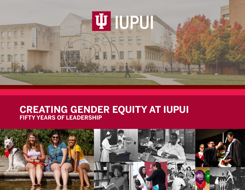

# **CREATING GENDER EQUITY AT IUPUI FIFTY YEARS OF LEADERSHIP**

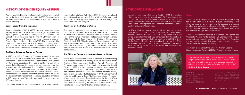"The mission of the IUPUI Office for Women is to build a campus environment that is inclusive of all and to create a climate where all community members can succeed and reach their full potential as faculty, staff, or students."

#### **- Kathleen S. Grove, Director**

# **HISTORY OF GENDER EQUITY AT IUPUI**

Women-identified faculty, staff and students have been a vital part of the life of IUPUI since its creation in 1969.They have been partners and leaders in the development of IUPUI as a modern urban university.

#### **Gender Equity from the beginning**

In 1975, the IUPUI Continuing Education Center for Women opened under the leadership of Maureen Provost as director and Marjorie Leamnson Stonehill, Director of the IUPUI School of Continuing Education. This was a continuing education center that addressed the needs of women who were returning to school as adults and needed financial aid assistance, transfer credit, and workforce preparation. The need for the women's center was based on the increased demand for services as adult women returned in large numbers to higher education as well as the statistic that 58 percent of continuing education enrollees at IUPUI were women. The center was located in a house on the 38<sup>th</sup> Street Campus.

Since the founding of IUPUI in 1969, the campus administration has supported various initiatives to insure gender equity and equal opportunity for women faculty, staff and students. The earliest of these measures was the first IUPUI Commission on Women appointed by Chancellor Maynard Hine and chaired by Professor Frances Dodson Rhome in 1973. The purpose of this commission was to assure that the campus was in alignment with Title IX of the Education Amendments of 1972 that prohibited sex discrimination in federally-funded education.

#### **Continuing Education Center for Women**

The center moved to the downtown campus in 1981 and was

Contact Us Email: women@iupui.edu Phone: 317-278-3600 755 West Michigan Street University Library Indianapolis, IN 46202-5146

guided by Patricia Boer. By the late 1980's the center was closed and its tasks absorbed by he Office of Women's Research and Resources in Cavanaugh Hall. In 1991 the staff was merged into the Women's Studies program.

#### **Task Force on the Status of Women**

The need to address issues of gender equity on campus continued and in 1994, William Plater, Dean of Faculties, and Kathleen Warfel, Faculty Council President, established the Task Force on the Status of Women. The first recommendation of the 1996 Report of the Task Force on the Status of Women was: Establish the IUPUI Office for Women. "We envisioned a future with a permanent and formal campus mechanism to address the status of women faculty, librarians, staff and students and a campus climate which makes IUPUI an institution where women can succeed...."

#### **The Office for Women and the Commission on Women**

The current Office for Women was established in 1996 following this recommendation with funding from an Indiana University Strategic Directions grant. Kathleen Warfel, Professor of Pathology, was named its first director by Chancellor Gerald Bepko. In 1997, the Commission on Women was organized to address concerns in the areas of pay equity, recruitment and retention of women, sexual harassment, childcare needs, campus climate and work/life balance. In 1998, Kathleen Warfel resigned and Kimberly Quaid (de Cordon), Assistant Professor of Medicine and Molecular Genetics, became the director. When the initial grant funding ended in 2000, financial support for the office was assumed by the campus and administration was transferred to the Office for Professional Development.

#### **EX[THE OFFICE FOR WOMEN](https://ofw.iupui.edu/)**

Upon the resignation of Kimberly Quaid in 2001, the position of director was vacant for several years. Staff members of the Office for Professional Development oversaw the activities of the office. These included Sherree Wilson, Director of Multicultural Professional Development, and research assistants, Jeanine Bankey and Annila Muhammed.

In 2004, Kathleen Grove was hired as Director, a parttime position in the Office of Professional Development. Subsequently in 2007, at the 10th anniversary celebration of the Office, Chancellor Charles Bantz announced that the position of director would become a full-time position. In 2008 the Office for Professional Development was closed; however, the Office for Women remained in the portfolio of the Office of Academic Affairs reporting to the Senior Associate Vice Chancellor for Academic Affairs.



#### **Today**

The Office leads campus-wide efforts to ensure gender equity for faculty, staff and students through partnerships with other campus units, programming to address professional development and career strategies, leadership skills workshops, mentoring programs, policy review and analysis, and recognition of excellence through awards and exhibits.

Another Task Force on the Status of Women was organized by Chancellor Nasser Paydar to lead a 20-year review of campus progress towards gender equity. The 2014 Task Force Report on the Status of Women at IUPUI noted progress made on campus and identified challenges remaining.

The report is available at the Office for Women website: <https://ofw.iupui.edu/Research/2014-Task-Force-on-the-Status-of-Women>

**1** 

This publication is made possible by a grant from the Division of Diversity, Equity and Inclusion. Text by Kathleen Grove unless otherwise noted, research by Mary Owen Giorgio, and design by Nicole Powell (NPinspired Design).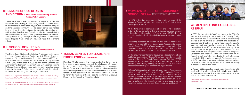#### **[HERRON SCHOOL OF ARTS](https://herron.iupui.edu/galleries/talks/index.html)  [AND DESIGN – Jane Fortune Outstanding Women](https://herron.iupui.edu/galleries/talks/index.html)   [Visiting Artist Lecture](https://herron.iupui.edu/galleries/talks/index.html)**

The Jane Fortune Outstanding Women Visiting Artist Lecture was created in 2007 to bring internationally acclaimed female artists to Indianapolis to share their insights with the school, campus, and Indianapolis communities. The lecture series was funded by a gift from the late Indianapolis philanthropist, author and art historian, Jane Fortune. The talks are hosted annually in the Basile Auditorium at Herron. Past guest speakers have included Audrey Flack, Judy Chicago, María Magdalena Compos-Pons, Faith Ringgold, Carrie Mae Weems, and Paula Scher among others.

The Davis-Sams Distinguished Visiting Professorship is named in honor of Anne Mitchem-Davis, the first African American graduate of Indiana University School of Nursing (1953) and Dr. Lauranne Sams, the first African American faculty member hired (1958). Established in 1999 as part of the School's 85<sup>th</sup> Anniversary Celebration, the Davis-Sams Distinguished Visiting Professorship provides an opportunity for a distinguished leader in nursing to spend 2–3 days consulting with faculty, lecturing to students, and engaging with the larger community.

[https://ofw.iupui.edu/Leadership/Online-Archive-Women-Creating-](https://ofw.iupui.edu/Leadership/Online-Archive-Women-Creating-Excellence-at-IUPUI/Women-Creating-Excellence/lauranne-brown-sams)[Excellence-at-IUPUI/Women-Creating-Excellence/lauranne-brown-sams](https://ofw.iupui.edu/Leadership/Online-Archive-Women-Creating-Excellence-at-IUPUI/Women-Creating-Excellence/lauranne-brown-sams)

[https://ofw.iupui.edu/Leadership/Online-Archive-Women-Creating-](https://ofw.iupui.edu/Leadership/Online-Archive-Women-Creating-Excellence-at-IUPUI/Women-Creating-Excellence/anne-mitchem-davis)[Excellence-at-IUPUI/Women-Creating-Excellence/anne-mitchem-davis](https://ofw.iupui.edu/Leadership/Online-Archive-Women-Creating-Excellence-at-IUPUI/Women-Creating-Excellence/anne-mitchem-davis)



In 2009, for the university's 40<sup>th</sup> anniversary, the Office for Women with funding from the Division of Diversity, Equity and Inclusion and assistance from the University Library created a online archive to highlight and celebrate the significant contributions of women faculty, staff, students, alumnae and community members. It features the biographies of over 100 women who have made significant contributions to the growth and development of IUPUI since 1969 and features photos from the Ruth Lilly Special Collections and Archives. Additional information on the "founding mothers" who helped build the institutions that preceded IUPUI is included as well. Predecessor schools to IUPUI have had a presence in Indianapolis as early as 1879 and feature a strong tradition of women's leadership in important and critical roles .

### **[TOBIAS CENTER FOR LEADERSHIP](https://tobiascenter.iu.edu/conferences/hazelett-forum/index.html)  [EXCELLENCE – Hazlett Forum](https://tobiascenter.iu.edu/conferences/hazelett-forum/index.html)**

Based on IUPUI's campus, the [Tobias Leadership Center](https://tobiascenter.iu.edu) works to engage diverse leaders to meet the challenges of impact, innovation and inclusion. One of its key initiatives is the annual Hazlett Forum, which provides a public arena for knowledgeable and creative speakers to celebrate the achievements of women leaders. It was established by Ambassador Randall L. Tobias to honor the memory of Susie Hazelett, the former Executive Director of the Randall L. Tobias Foundation.

#### **WOMEN CREATING EXCELLENCE AT IUPUI**

In January 2012, the online exhibit was adapted to a multimedia exhibit which was shown in the Cultural Arts Gallery in the Campus Center. The exhibit continues to exist on the Office for Women website:

[https://ofw.iupui.edu/Leadership/Online-Archive-Women-Creating-](https://ofw.iupui.edu/Leadership/Online-Archive-Women-Creating-Excellence-at-IUPUI)[Excellence-at-IUPUI](https://ofw.iupui.edu/Leadership/Online-Archive-Women-Creating-Excellence-at-IUPUI)

In 1976, a few first-year women law students founded the Women's Caucus at what was then the IU School of Law-

Indianapolis at IUPUI.

At the time, women represented about one-third of students entering the law school and their growing numbers represented a dramatic shift in enrollment. Prior to the mid-1970s, the law school typically had only a handful of women in each graduating



class.

Increasing numbers of women in law school represented progress, but they still faced stereotypes. According to Lauran Hansen Dean, J.D.,'79, a Women's Caucus founder and its first president,it wasn't unusual for women to hear that they had taken a spot in law school that could have gone to a man.

**[WOMEN'S CAUCUS OF IU MCKINNEY](https://mckinneylaw.iu.edu/news/releases/2019/10/law-school-womens-caucus-founders-create-lasting-tradition.html)** [SCHOOL OF LAW](https://mckinneylaw.iu.edu/news/releases/2019/10/law-school-womens-caucus-founders-create-lasting-tradition.html) By Alicia Carlson, Writer/Editor, IU Robert H. McKinney School of Law, Office of External Affairs

By the following year, Women's Caucus had 50 student members, published a newsletter, "Caucus Voice," and hosted a successful inaugural "Free to Be Female," conference on October 27, 1977. Women's Caucus continues to be an important part of the IU McKinney community, hosting an annual auction that raises proceeds for Indianapolis-area service organizations.

"Women's Caucus is a vital part of many women's experience in law school," says Cayla Irlbeck, a J.D. candidate (class of 2020) in the IU McKinney School of Law and co-chair of the IU McKinney Women's Caucus. "It provides a platform for women in law school to network with other professional women. We seek to build networks throughout this city and beyond for our members so that each member feels supported and heard."

#### **[IU SCHOOL OF NURSING](https://nursing.iupui.edu/about/diversity/programs/davis-sams/index.shtml)  [The Davis-Sams Visiting Distinguished Professorship](https://nursing.iupui.edu/about/diversity/programs/davis-sams/index.shtml)**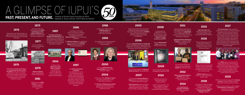CECW moves to IUPUI campus to converted private residence at 1317 W. Michigan Street

"Opportunities for Women Today", an eight-week course, was offered for the first time by the Division of Continuing **Education** 



The IU School of Medicine Women's Advisory Council, was established.

Women's Studies minor created by the School of Liberal Arts

> **10th Anniversary Office for Women** Celebration Luncheon, April 10th, featuring Ora Pescovitz, President and CEO, Riley Hospital for Children.

### **2007**

First dedicated Nursing Mother's **Room** opened on campus in School of Engineering and Technology.

The **Office for Women** was established under the leadership of Kathleen Warfel, Professor of Pathology, IU School of Medicine.

was issued. It recommends the establishment of an **Office for Women and a Commission** on Women

> The new **IUPUI Center for** Young Children had its official opening in August.

In February 2004, Kathleen S. Grove was hired as the director of the IUPUI Office for Women.

Newly constructed, dedicated lactation space spearheaded by the Campus Center and the Office for Women opens in the Campus Center.

New faculty pay equity study completed at request of OFW.

> LGBTQ+ Center opens on campus in Taylor Hall and first director hired

#### **2018**

On August 21, 2018, the Board of Trustees approved a name change for the Women's Studies Program to: Women's. Gender, and Sexuality Studies (WGSS)

# **1972**

Sept. 19 was the official opening of the Continuing Education Center for Women, a two-story building on 38thStreet in order to "provide a home-like atmosphere where women can come for career and education counseling and for continuing education classes..."

A campus-wide Task Force on the

Status of Women was appointed to review data and current conditions for women at IUPUI and make recommendations.

# **2000**

### **2004**

20<sup>th</sup> Anniversary Office for Women Celebration Luncheon, Pacesetter Awards presented to five community women leaders: Tamika Catchings, Olympic Gold-medalist and former Indiana Fever player; Betty Cockrum, CEO, Planned Parenthood of Indiana and Kentucky; Miriam Acevedo Davis, President, La Plaza; Mari Evans, Poet and community activist (posthumous); and Rabbi Sandy Sasso, Beth-El Zedeck congregation and Women4Change.



# **PAST, PRESENT, AND FUTURE.** Timeline of Gender Equity Activities at IUPUI A GLIMPSE OF IUPUI'S

**THE REAL PROPERTY AND** 

#### The Women's Philanthropy Institute

becomes part of the Center on Philanthropy at the IU School of Liberal Arts, IUPUI.



#### **2009**

### **2010**

1999 Key Indicators for the Advancement of Women updated.

Hosted A'Lelia Bundles, "The Story of Madam CJ Walker: Writing My Great-great Grandmother Back into History."

Final Report of the Task Force on the Status of Women **1996**

> The WISE (Women in Science and Engineering) Wing in North Hall is an embedded community on the STEM (science, technology, engineering, math) Floor for first-year female students who are pursuing degrees in the Schools of Engineering & Technology and the School of Science.

#### **2019**

OFW is Co-sponsor inaugural IUPUI Women of Color Luncheon on March 29th at Southeast Community Service Center.

OFW is Co-sponsor and co-chair inaugural IUPUI Women's Conference for 400 employees on August 23rd at the Campus Center.

Sexual Assault Prevention, Intervention and Response (SAPIR) Task Force formed.

#### **2012**

Women Creating Excellence at IUPUI multi-media exhibit created in Campus Center Art Gallery.

#### **2014**

New Task Force on the Status of Women created and prepares report.

### **2015**

Next Generation 2.0 leadership program funded by Academic Affairs and launched by Office for Women

#### **2016**

Receive \$13,000 grant from IU Foundation Women's Philanthropy Council to pilot an Office for Women at the Columbus campus



#### **2017**

In preparation for celebration of IUPUI 40th Anniversary, online archive exhibit created, "Women Creating Excellence at IUPUI"

Campus Multicultural **Center** created and interim director hired.

#### **1975**

#### **1977**

### **1979**

**1994**

# **1997**

#### **2005**

Indiana University-Purdue University Indianapolis Preparing Outstanding Women for Engineering Roles (POWER) Summer Camp at the School of Engineering and Technology is established

### **2006**

Inaugural Hazelett Women in Leadership forum initiated by the IU Tobias Center for Excellence in Leadership, IUPUI Office of the Chancellor and the Office for Women.



# **<sup>2008</sup> <sup>2011</sup>**

Enhanced Mentoring Program with Opportunities for Ways to Excel in Research (**EMPOWER**) co-created by the Office for Women and the Office of the Vice Chancellor for Research.

Advancing Women Mentoring Program co-created by Office for Women and Division of Student Affairs.



Kathleen S. Grove, Director, IUPUI Office for Women

The Committee on Women's Studies was formed.



### **1981**

The Office of Women's Research and Resources was established in Cavanaugh Hall and combined the resources of the Women's Studies Program and the Center for Continuing Education for Women.

#### **1987**

The IUPUI Commission on Women

was established. It served as a volunteer group of faculty, staff and students that formed working groups on various issues including pay equity, child care, sexual harassment, campus climate, recruitment and retention, curriculum and work/life initiatives.

#### **1998**

In September, 1998, Professor Kimberly Quaid was appointed director of the Office for Women.

#### **1999**

Key Indicators for the Advancement of Women from task force report updated.

#### **1973**

Chancellor Maynard Hine appoints first IUPUI Commission on the Status of Women with Professor Frances Dodson Rhome as Chairperson.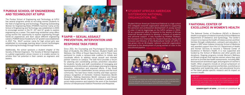# **[PURDUE SCHOOL OF ENGINEERING](https://et.iupui.edu/prospective/undergraduate/women-in-engineering)  [AND TECHNOLOGY AT IUPUI](https://et.iupui.edu/prospective/undergraduate/women-in-engineering)**

The Purdue School of Engineering and Technology at IUPUI has several programs aimed at recruiting women students to the field of engineering and technology. Preparing Outstanding Women for Engineering Roles (POWER) Summer Camp at the School of Engineering and Technology was established in 2005 to encourage women in the  $9<sup>th</sup>$ , 10<sup>th</sup> and  $11<sup>th</sup>$  grade to explore engineering as a career. This week-long residential camp offers young women the opportunity to explore engineering through hands-on experiences and learn about different engineering careers. POWER Senior Academy for 12<sup>th</sup> graders was established in 2017. The WinIT summer camp for high school girls was established to encourage learning about current technologies and exploring technology through hands-on experiences.

Additionally, the school sponsors a student chapter of the Society of Women Engineers. The Society of Women Engineers is a global organization whose mission is to enable women to achieve their full potential in their careers as engineers and leaders.





# **S STUDENT AFRICAN AMERICAN [SISTERHOOD NATIONAL](https://theden.iupui.edu/organization/SAAS)  [ORGANIZATION, INC.](https://theden.iupui.edu/organization/SAAS)**

#### In 1976, a few first-year women law students founded by the students founded by the students founded by the students founded by the students founded by the students founded by the students founded by the students founded b FUN FACT:

The National Center of Excellence (NCoE) in Women's Health is a program of Indiana University School of Medicine Department of Obstetrics and Gynecology. The Center's mission is to improve the health of Indiana women and their families through collaboration, outreach and education. It began in 1997 when Indiana University School of Medicine was awarded support from the U.S. Department of Health and Human Services to become a National Center of Excellence in Women's Health. It is now supported and funded by the School of Medicine and other grants and donations. Ongoing programs include Women's Wellness on Wheels program that reaches women where they work and live to provide free health assessments, including BMI, blood pressure and blood sugar, and programs on women's health. Other programs include an annual symposium on health issues impacting women and families, a workshop on negotiation and leadership skills, and educational forums on the latest gender-specific research and its impact on women's health.

Student African American Sisterhood National is a high school and collegiate nonprofit organization dedicated to supporting the personal and professional development of young women of color. It had its beginnings on the IUPUI campus in 2004- 05 as a grassroots effort to respond to the desires of African American female students to develop a network of academic and personal support. It was founded by Khalilah Shabazz, the Assistant Vice Chancellor for Student Diversity, Equity and Inclusion and Director of the Multicultural Center at IUPUI. It has grown into an 18-chapter national nonprofit organization dedicated to the development of young women of color in the educational pipeline.



# **[SAPIR – SEXUAL ASSAULT](https://sapir.iupui.edu/)  [PREVENTION, INTERVENTION AND](https://sapir.iupui.edu/)  [RESPONSE TASK FORCE](https://sapir.iupui.edu/)**

### **ENATIONAL CENTER OF [EXCELLENCE IN WOMEN'S HEALTH](https://medicine.iu.edu/obgyn/clinical-care/womens-health-center)**

In 2011 all current employees were required to successfully complete an online Sexual Harassment Training module through the Office of Equal Opportunity. During 2011 and 2012 approximately 11,150 faculty, staff, and student employees on the IUPUI and IUPUC campuses completed the training.

Since 2011, the Counseling and Psychological Services, the Dean of Students, the Office for Women, Student Health and Wellness, the Office of Equal Opportunity and IU Police have partnered to create a campus-wide coalition to initiate and coordinate efforts to address sexual assault and intimate partner violence on campus. The task force provides a forum for planning and coordinating primary prevention education for students, faculty and staff; coordination of messaging and dissemination of information; and strategic planning for ongoing prevention, intervention and response efforts. It has broad representation from stakeholders across campus and the local community. The task force meets monthly and helps sponsor campus recognition of Domestic Violence Awareness Month (October), Stalking Awareness Month (January) and Sexual Assault Awareness Month (April). It maintains a website and social media presence and supports the work of the Assistant Director of Interpersonal Violence Prevention and Response.

FUN FACT:

The Great Eight Scholarship was created by eight black women who received their PhD's all in the same year, 2016, from the IU School of Education at IUPUI. It will help fund a graduate student in the doctoral program at the IUPUI School of Education.

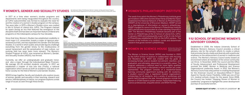#### **[WOMEN'S, GENDER AND SEXUALITY STUDIES](https://liberalarts.iupui.edu/wost/)** By Catherine A. Dobris, Ph.D.Director, Women's, Gender, and Sexuality Studies Program

In 1977 at a time when women's studies programs and departments were being inaugurated throughout the country, an IUPUI subcommittee was formed to evaluate the need for and the creation of a women's studies program on the campus. Two years later, in 1979, a Women's Studies minor was created in the IU School of Liberal Arts, IUPUI. The Program claimed its space during an era that featured the emergence of the discipline itself and has been an important feature of liberal arts programs on the Indianapolis campus for four decades.

Since that time, Women's Studies has established credibility in most major U.S. universities, boasts a roster of rigorous peerreviewed journals, and has expanded into Gender and Sexuality Studies. In a world in which public and private figures challenge everything from the gender binary to the insidiousness of sexual harassment and the perpetuation of rape culture, our evolving field has never been more relevant. The Women's Studies Program at IUPUI, now renamed as Women's, Gender, and Sexuality Studies (WGSS), has thrived.

Currently, we offer an undergraduate and graduate minor, and also a major through the Individualized Major Program. We average 20–35 enrolled students annually. In 2017, we established a chapter of Iota Iota Iota (Triota), a national organization which serves as both an academic club and as an honor society for the field of Women's and Gender Studies.

WGSS brings together faculty and students who explore issues of women, gender and sexuality in their teaching, research and service. Interdisciplinary in nature, our program explores a wide range of issues as seen through these lenses.

#### *Source:*

*Dobris, C.A., Turner, R., & Wilcox, L. (In press, 2019)."We Changed Minds": A History of the Women's Studies Program at Indiana University Purdue University Indianapolis (IUPUI). Andrea Walton, editor. Women at Indiana University: Views of the Past and the Future (Bloomington, IN: Indiana University Press)*



### *[WOMEN'S PHILANTHROPY INSTITUTE](https://philanthropy.iupui.edu/institutes/womens-philanthropy-institute/index.html)*

The seeds from which the Women's Philanthropy Institute grew germinated in 1991 when Sondra Shaw Hardy and Martha Taylor established the National Network of Women as Philanthropists (NNWP) at the University of Wisconsin-Madison. NNWP served as a clearinghouse of information on women's philanthropy. NNWP changed its name to the Women's Philanthropy Institute (WPI) and became incorporated as a free-standing nonprofit in 1997. The Women's Philanthropy Institute became part of the Center on Philanthropy at the IU School of Liberal Arts, IUPUI, in January 2004 and subsequently a part of the IU Lilly School of Philanthropy established in 2012 on the IUPUI campus. The mission of the Institute is to conduct, curate and disseminate research that grows women's philanthropy.

# [WOMEN IN SCIENCE HOUSE](https://science.iupui.edu/womeninscience) By Diana Sims-Harris, Ph.D.,

Director of Student Affairs, School of Science, IUPUI

# **[IU SCHOOL OF MEDICINE WOMEN'S](https://medicine.iu.edu/about/diversity/committees/womens-council)  ADVISORY COUNCIL**

Established in 2006, the Indiana University School of Medicine Women's Advisory Council provides a critical advisory role for the school's efforts to create a culture that promotes faculty vitality and diversity with a particular emphasis on the advancement of women in medicine and science. The Women's Advisory Council works toward an environment where all members of the school community can thrive. In November 2009, the council and the Office of Faculty Advancement and Professional Development received the AAMC Women in Medicine and Science Organizational Leadership Award. In 2012, the Women's Advisory Council was a key partner in creating the proposal for the American Council on Education/Alfred P. Sloan Award for Faculty Career Flexibility. IUSM was one of five U.S. medical schools chosen for the award. Since 2008, the Council has hosted "Stepping Stones of Women in Leadership" programs to highlight the career development journeys of successful women.

The Women in Science House (WISH) was founded in 2005 by the IUPUI School of Science in collaboration with Housing and Residence Life. WISH was created with the goals of increasing female science student recruitment, retention, and graduation, and ultimately, placement in a scientific career. The program addresses a national need for more highly qualified scientists, particularly in disciplines in which women are under represented. The program consists of a residential-based learning community (apartment building with 30 residents), a student council (also a registered student organization), scholarships for all residents, and a variety of workshops and events held throughout the year. Annual programs include the Women in STEM research poster session, Pasta Panel featuring science professionals, etiquette dinner, and WISH Formal.



Associate Professor,Department of Communication Studies IU School of Liberal Arts, IUPUI